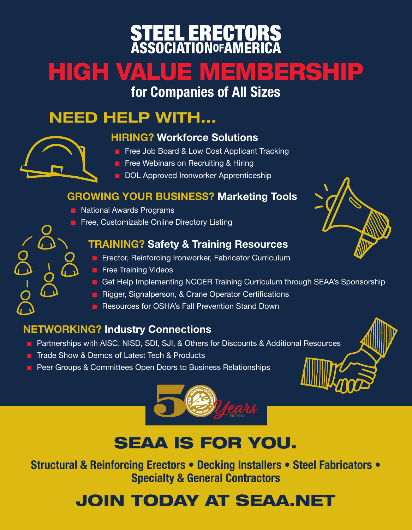# **STEEL ERECTORS**<br>ASSOCIATION0FAMERICA

# HIGH VALUE MEMBERSHIP

### for Companies of All Sizes

## NEED HELP WITH...

#### HIRING? Workforce Solutions

- **F** Free Job Board & Low Cost Applicant Tracking
- **E** Free Webinars on Recruiting & Hiring
- DOL Approved Ironworker Apprenticeship

#### GROWING YOUR BUSINESS? Marketing Tools

- $\blacksquare$  National Awards Programs
- **E** Free, Customizable Online Directory Listing

#### TRAINING? Safety & Training Resources

- **Exector, Reinforcing Ironworker, Fabricator Curriculum**
- $\blacksquare$  Free Training Videos
- Get Help Implementing NCCER Training Curriculum through SEAA's Sponsorship
- **E** Rigger, Signalperson, & Crane Operator Certifications
- **E** Resources for OSHA's Fall Prevention Stand Down

#### NETWORKING? Industry Connections

- **E** Partnerships with AISC, NISD, SDI, SJI, & Others for Discounts & Additional Resources
- **T** Trade Show & Demos of Latest Tech & Products
- **Peer Groups & Committees Open Doors to Business Relationships**



# SEAA IS FOR YOU.

Structural & Reinforcing Erectors • Decking Installers • Steel Fabricators • Specialty & General Contractors

# JOIN TODAY AT SEAA.NET